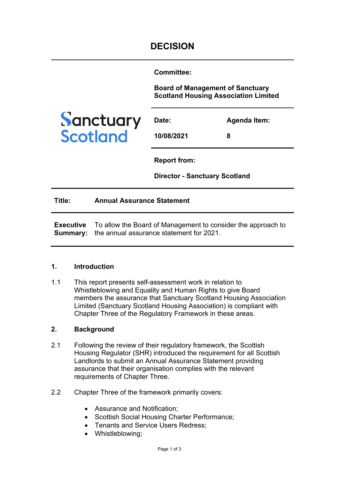**Committee:** 

**Board of Management of Sanctuary Scotland Housing Association Limited**



| Date:      | <b>Agenda Item:</b> |
|------------|---------------------|
| 10/08/2021 | 8                   |

**Report from:** 

**Director - Sanctuary Scotland**

**Title: Annual Assurance Statement**

**Executive Summary:**  the annual assurance statement for 2021. To allow the Board of Management to consider the approach to

#### **1. Introduction**

1.1 This report presents self-assessment work in relation to Whistleblowing and Equality and Human Rights to give Board members the assurance that Sanctuary Scotland Housing Association Limited (Sanctuary Scotland Housing Association) is compliant with Chapter Three of the Regulatory Framework in these areas.

# **2. Background**

- 2.1 Following the review of their regulatory framework, the Scottish Housing Regulator (SHR) introduced the requirement for all Scottish Landlords to submit an Annual Assurance Statement providing assurance that their organisation complies with the relevant requirements of Chapter Three.
- 2.2 Chapter Three of the framework primarily covers:
	- Assurance and Notification;
	- Scottish Social Housing Charter Performance;
	- Tenants and Service Users Redress;
	- Whistleblowing;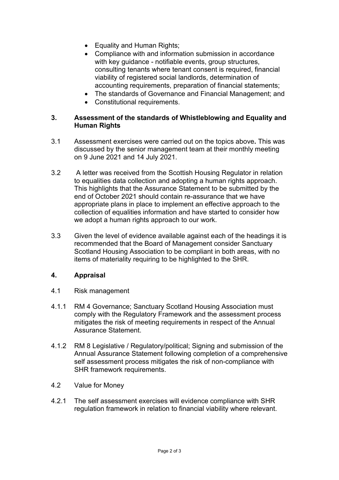- Equality and Human Rights;
- Compliance with and information submission in accordance with key guidance - notifiable events, group structures, consulting tenants where tenant consent is required, financial viability of registered social landlords, determination of accounting requirements, preparation of financial statements;
- The standards of Governance and Financial Management; and
- Constitutional requirements.

## **3. Assessment of the standards of Whistleblowing and Equality and Human Rights**

- 3.1 Assessment exercises were carried out on the topics above**.** This was discussed by the senior management team at their monthly meeting on 9 June 2021 and 14 July 2021.
- 3.2 A letter was received from the Scottish Housing Regulator in relation to equalities data collection and adopting a human rights approach. This highlights that the Assurance Statement to be submitted by the end of October 2021 should contain re-assurance that we have appropriate plans in place to implement an effective approach to the collection of equalities information and have started to consider how we adopt a human rights approach to our work.
- 3.3 Given the level of evidence available against each of the headings it is recommended that the Board of Management consider Sanctuary Scotland Housing Association to be compliant in both areas, with no items of materiality requiring to be highlighted to the SHR.

## **4. Appraisal**

- 4.1 Risk management
- 4.1.1 RM 4 Governance; Sanctuary Scotland Housing Association must comply with the Regulatory Framework and the assessment process mitigates the risk of meeting requirements in respect of the Annual Assurance Statement.
- 4.1.2 RM 8 Legislative / Regulatory/political; Signing and submission of the Annual Assurance Statement following completion of a comprehensive self assessment process mitigates the risk of non-compliance with SHR framework requirements.
- 4.2 Value for Money
- 4.2.1 The self assessment exercises will evidence compliance with SHR regulation framework in relation to financial viability where relevant.